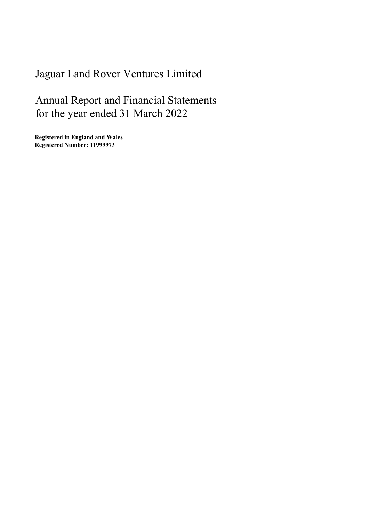# Jaguar Land Rover Ventures Limited

Annual Report and Financial Statements for the year ended 31 March 2022

Registered in England and Wales Registered Number: 11999973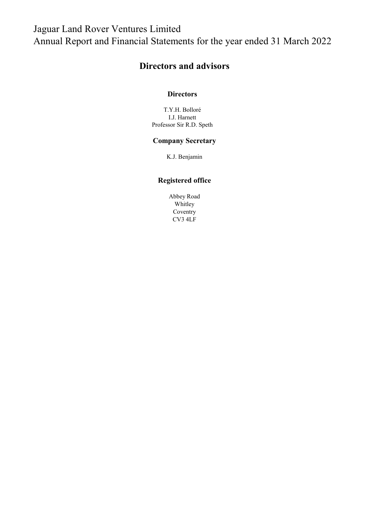## Jaguar Land Rover Ventures Limited Annual Report and Financial Statements for the year ended 31 March 2022

## Directors and advisors

#### **Directors**

T.Y.H. Bolloré I.J. Harnett Professor Sir R.D. Speth

### Company Secretary

K.J. Benjamin

#### Registered office

Abbey Road Whitley Coventry CV3 4LF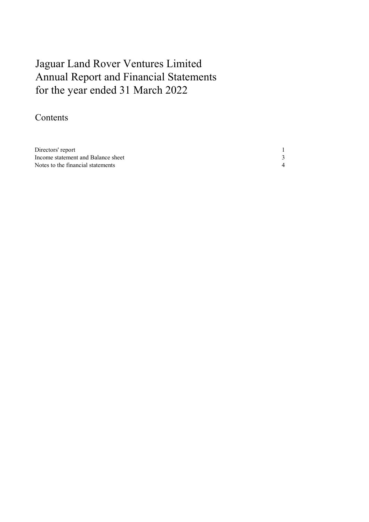# Annual Report and Financial Statements for the year ended 31 March 2022 Jaguar Land Rover Ventures Limited

## Contents

| Directors' report                  |  |
|------------------------------------|--|
| Income statement and Balance sheet |  |
| Notes to the financial statements  |  |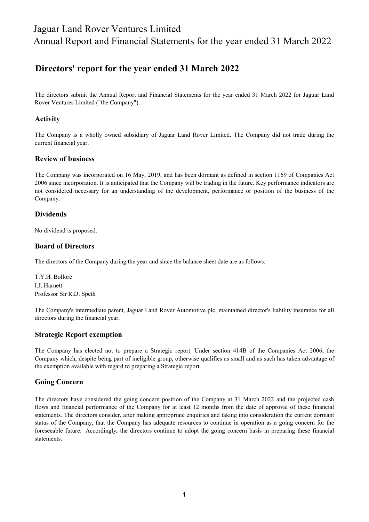## Jaguar Land Rover Ventures Limited Annual Report and Financial Statements for the year ended 31 March 2022

### Directors' report for the year ended 31 March 2022

The directors submit the Annual Report and Financial Statements for the year ended 31 March 2022 for Jaguar Land Rover Ventures Limited ("the Company").

#### Activity

The Company is a wholly owned subsidiary of Jaguar Land Rover Limited. The Company did not trade during the current financial year.

#### Review of business

The Company was incorporated on 16 May, 2019, and has been dormant as defined in section 1169 of Companies Act 2006 since incorporation. It is anticipated that the Company will be trading in the future. Key performance indicators are not considered necessary for an understanding of the development, performance or position of the business of the Company.

#### Dividends

No dividend is proposed.

#### Board of Directors

The directors of the Company during the year and since the balance sheet date are as follows:

T.Y.H. Bolloré I.J. Harnett Professor Sir R.D. Speth

The Company's intermediate parent, Jaguar Land Rover Automotive plc, maintained director's liability insurance for all directors during the financial year.

#### Strategic Report exemption

The Company has elected not to prepare a Strategic report. Under section 414B of the Companies Act 2006, the Company which, despite being part of ineligible group, otherwise qualifies as small and as such has taken advantage of the exemption available with regard to preparing a Strategic report.

#### Going Concern

The directors have considered the going concern position of the Company at 31 March 2022 and the projected cash flows and financial performance of the Company for at least 12 months from the date of approval of these financial statements. The directors consider, after making appropriate enquiries and taking into consideration the current dormant status of the Company, that the Company has adequate resources to continue in operation as a going concern for the foreseeable future. Accordingly, the directors continue to adopt the going concern basis in preparing these financial statements.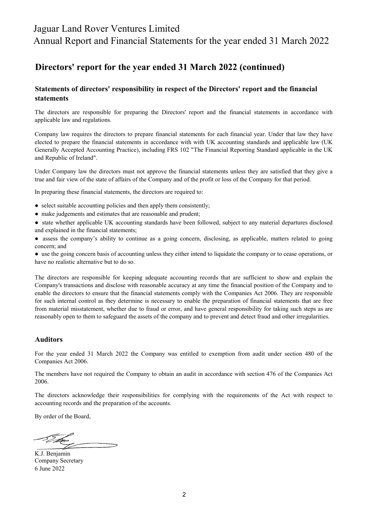### Jaguar Land Rover Ventures Limited

Annual Report and Financial Statements for the year ended 31 March 2022

### Directors' report for the year ended 31 March 2022 (continued)

#### Statements of directors' responsibility in respect of the Directors' report and the financial statements

The directors are responsible for preparing the Directors' report and the financial statements in accordance with applicable law and regulations.

Company law requires the directors to prepare financial statements for each financial year. Under that law they have elected to prepare the financial statements in accordance with with UK accounting standards and applicable law (UK Generally Accepted Accounting Practice), including FRS 102 "The Financial Reporting Standard applicable in the UK and Republic of Ireland".

Under Company law the directors must not approve the financial statements unless they are satisfied that they give a true and fair view of the state of affairs of the Company and of the profit or loss of the Company for that period.

In preparing these financial statements, the directors are required to:

- select suitable accounting policies and then apply them consistently;
- make judgements and estimates that are reasonable and prudent;
- state whether applicable UK accounting standards have been followed, subject to any material departures disclosed and explained in the financial statements;
- assess the company's ability to continue as a going concern, disclosing, as applicable, matters related to going concern; and

● use the going concern basis of accounting unless they either intend to liquidate the company or to cease operations, or have no realistic alternative but to do so.

The directors are responsible for keeping adequate accounting records that are sufficient to show and explain the Company's transactions and disclose with reasonable accuracy at any time the financial position of the Company and to enable the directors to ensure that the financial statements comply with the Companies Act 2006. They are responsible for such internal control as they determine is necessary to enable the preparation of financial statements that are free from material misstatement, whether due to fraud or error, and have general responsibility for taking such steps as are reasonably open to them to safeguard the assets of the company and to prevent and detect fraud and other irregularities.

#### Auditors

For the year ended 31 March 2022 the Company was entitled to exemption from audit under section 480 of the Companies Act 2006.

The members have not required the Company to obtain an audit in accordance with section 476 of the Companies Act 2006.

The directors acknowledge their responsibilities for complying with the requirements of the Act with respect to accounting records and the preparation of the accounts.

By order of the Board,

6 June 2022 K.J. Benjamin Company Secretary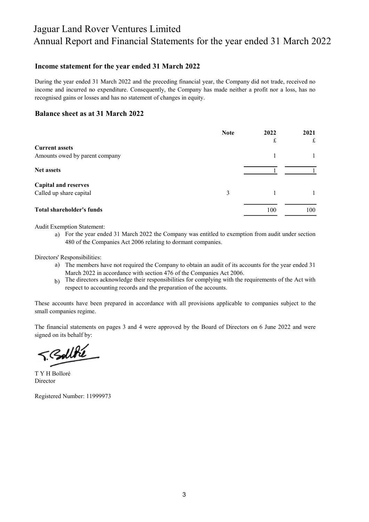## Jaguar Land Rover Ventures Limited Annual Report and Financial Statements for the year ended 31 March 2022

#### Income statement for the year ended 31 March 2022

During the year ended 31 March 2022 and the preceding financial year, the Company did not trade, received no income and incurred no expenditure. Consequently, the Company has made neither a profit nor a loss, has no recognised gains or losses and has no statement of changes in equity.

#### Balance sheet as at 31 March 2022

|                                  | <b>Note</b> | 2022 | 2021 |
|----------------------------------|-------------|------|------|
|                                  |             | £    | £    |
| <b>Current assets</b>            |             |      |      |
| Amounts owed by parent company   |             |      |      |
| <b>Net assets</b>                |             |      |      |
| <b>Capital and reserves</b>      |             |      |      |
| Called up share capital          | 3           |      |      |
| <b>Total shareholder's funds</b> |             | 100  | 100  |

Audit Exemption Statement:

a) For the year ended 31 March 2022 the Company was entitled to exemption from audit under section 480 of the Companies Act 2006 relating to dormant companies.

Directors' Responsibilities:

- a) The members have not required the Company to obtain an audit of its accounts for the year ended 31 March 2022 in accordance with section 476 of the Companies Act 2006.
- b) The directors acknowledge their responsibilities for complying with the requirements of the Act with respect to accounting records and the preparation of the accounts.

These accounts have been prepared in accordance with all provisions applicable to companies subject to the small companies regime.

The financial statements on pages 3 and 4 were approved by the Board of Directors on 6 June 2022 and were signed on its behalf by:

T. BollBe

T Y H Bolloré Director

Registered Number: 11999973